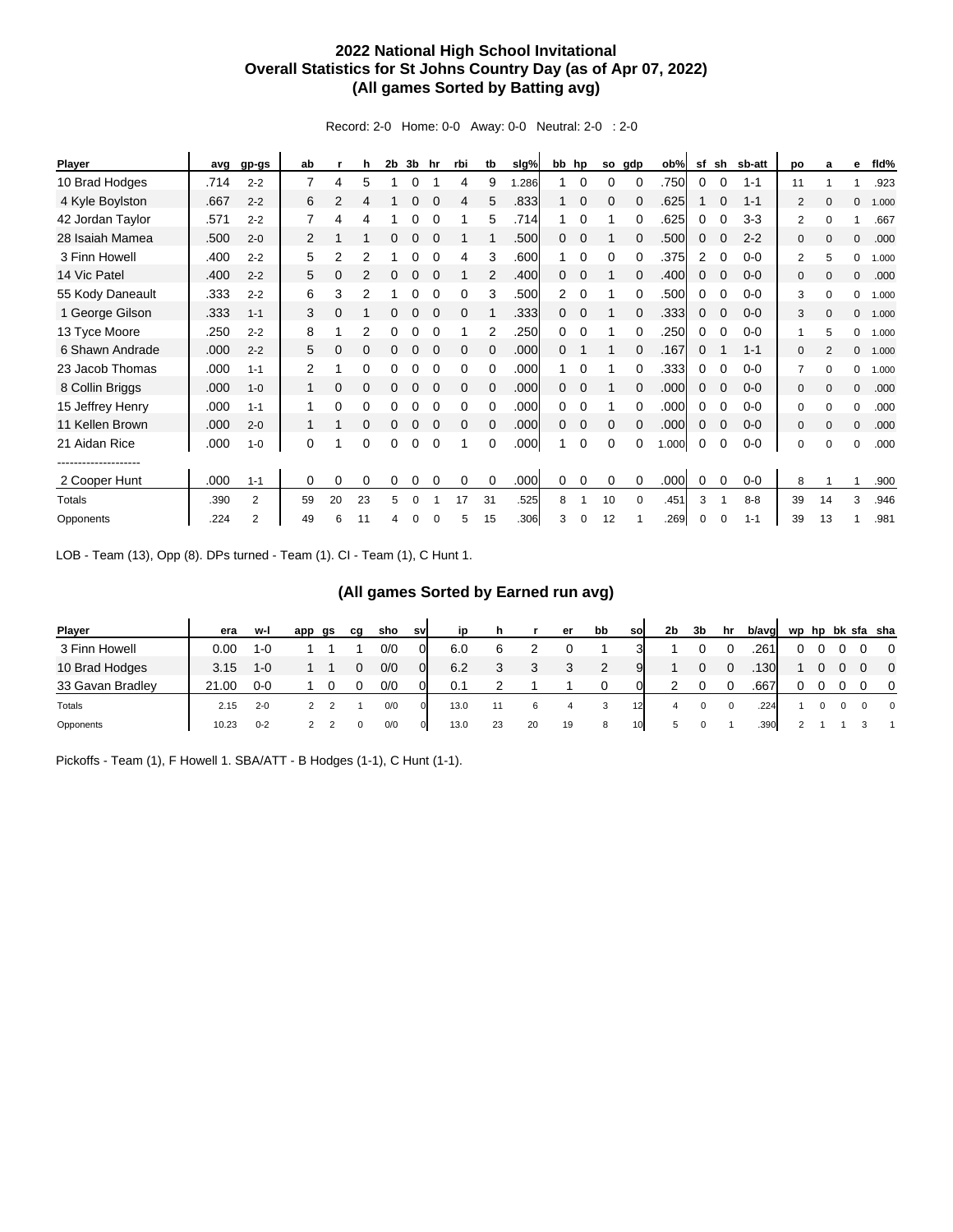## **2022 National High School Invitational Overall Statistics for St Johns Country Day (as of Apr 07, 2022) (All games Sorted by Batting avg)**

Record: 2-0 Home: 0-0 Away: 0-0 Neutral: 2-0 : 2-0

| Player           | avg  | gp-gs   | ab |    | h  | 2b | 3 <sub>b</sub> | hr       | rbi          | tb           | slg%  | bb hp          |             | so           | gdp      | ob%   | sf | sh       | sb-att  | po             | a              | е            | fld%  |
|------------------|------|---------|----|----|----|----|----------------|----------|--------------|--------------|-------|----------------|-------------|--------------|----------|-------|----|----------|---------|----------------|----------------|--------------|-------|
| 10 Brad Hodges   | .714 | $2 - 2$ | 7  | 4  | 5  |    | 0              |          | 4            | 9            | 1.286 |                | 0           | 0            | $\Omega$ | .750  | 0  | 0        | $1 - 1$ | 11             |                |              | .923  |
| 4 Kyle Boylston  | .667 | $2 - 2$ | 6  | 2  | 4  |    | 0              | $\Omega$ | 4            | 5            | .833  |                | 0           | $\Omega$     | 0        | .625  |    | $\Omega$ | $1 - 1$ | 2              | 0              | 0            | 1.000 |
| 42 Jordan Taylor | .571 | $2 - 2$ | 7  | 4  | 4  |    |                |          |              | 5            | .714  |                |             |              |          | .625  | 0  |          | $3 - 3$ | 2              |                |              | .667  |
| 28 Isaiah Mamea  | .500 | $2 - 0$ | 2  |    |    |    |                |          |              |              | .500  | 0              | 0           |              |          | .500  | 0  |          | $2 - 2$ | $\mathbf 0$    | $\Omega$       | $\Omega$     | .000  |
| 3 Finn Howell    | .400 | $2 - 2$ | 5  | 2  | 2  |    | 0              |          | 4            | 3            | .600  |                | 0           | 0            | 0        | .375  | 2  |          | $0 - 0$ | 2              | 5              | 0            | 1.000 |
| 14 Vic Patel     | .400 | $2 - 2$ | 5  | 0  |    |    | 0              | $\Omega$ |              | 2            | .400  | 0              |             |              | 0        | .400  | 0  |          | $0 - 0$ | 0              | $\Omega$       | $\mathbf{0}$ | .000  |
| 55 Kody Daneault | .333 | $2 - 2$ | 6  | 3  | 2  |    | 0              | $\Omega$ | 0            | 3            | .500  | $\overline{2}$ | $\Omega$    |              | 0        | .500  | 0  | $\Omega$ | $0 - 0$ | 3              | $\Omega$       | 0            | 1.000 |
| 1 George Gilson  | .333 | $1 - 1$ | 3  | 0  |    | 0  | 0              | $\Omega$ | $\mathbf{0}$ |              | .333  | 0              | $\mathbf 0$ |              | 0        | .333  | 0  | 0        | $0 - 0$ | 3              | $\mathbf{0}$   | $\mathbf{0}$ | 1.000 |
| 13 Tyce Moore    | .250 | $2 - 2$ | 8  |    |    |    |                |          |              |              | .250  | 0              | $\Omega$    |              | 0        | .250  | 0  | 0        | $0 - 0$ | 1              | 5              | 0            | 1.000 |
| 6 Shawn Andrade  | .000 | $2 - 2$ | 5  | 0  | 0  | 0  |                |          | $\Omega$     | 0            | .000  | 0              |             |              |          | .167  | 0  |          | $1 - 1$ | $\mathbf 0$    | $\overline{2}$ | $\mathbf{0}$ | 1.000 |
| 23 Jacob Thomas  | .000 | $1 - 1$ | 2  |    | 0  | 0  |                |          | 0            | 0            | .000  |                | 0           |              | 0        | .333  | 0  |          | $0 - 0$ | $\overline{7}$ | $\Omega$       | 0            | 1.000 |
| 8 Collin Briggs  | .000 | $1 - 0$ | 1  | 0  | 0  |    |                | 0        | 0            | 0            | .000  | 0              | $\Omega$    |              | $\Omega$ | .000  | 0  |          | $0 - 0$ | $\mathbf 0$    | $\Omega$       | $\mathbf{0}$ | .000  |
| 15 Jeffrey Henry | .000 | $1 - 1$ |    | 0  | 0  |    | ი              | $\Omega$ | 0            | 0            | .000  | 0              | $\Omega$    |              | 0        | .000  | 0  | $\Omega$ | $0 - 0$ | $\Omega$       | $\Omega$       | $\Omega$     | .000  |
| 11 Kellen Brown  | .000 | $2 - 0$ |    |    | 0  | 0  | 0              | $\Omega$ | $\mathbf 0$  | $\mathbf{0}$ | .000  | 0              | 0           | $\mathbf{0}$ | 0        | .000  | 0  | 0        | $0 - 0$ | $\mathbf 0$    | $\mathbf{0}$   | $\mathbf{0}$ | .000  |
| 21 Aidan Rice    | .000 | $1 - 0$ | 0  |    | 0  | 0  | 0              | $\Omega$ |              | $\Omega$     | .000  | 1              | 0           | 0            | 0        | 1.000 | 0  | 0        | $0 - 0$ | 0              | $\Omega$       | 0            | .000  |
|                  |      |         |    |    |    |    |                |          |              |              |       |                |             |              |          |       |    |          |         |                |                |              |       |
| 2 Cooper Hunt    | .000 | $1 - 1$ | 0  | 0  | 0  | 0  | 0              | $\Omega$ | 0            | $\Omega$     | .000  | 0              | $\Omega$    | $\Omega$     | $\Omega$ | .000  | 0  | $\Omega$ | $0 - 0$ | 8              |                |              | .900  |
| Totals           | .390 | 2       | 59 | 20 | 23 | 5  | 0              |          | 17           | 31           | .525  | 8              |             | 10           | $\Omega$ | .451  | 3  |          | $8 - 8$ | 39             | 14             | 3            | .946  |
| Opponents        | .224 | 2       | 49 | 6  | 11 |    |                |          | 5            | 15           | .306  | 3              | O           | 12           |          | .269  | 0  |          | $1 - 1$ | 39             | 13             |              | .981  |

LOB - Team (13), Opp (8). DPs turned - Team (1). CI - Team (1), C Hunt 1.

## **(All games Sorted by Earned run avg)**

| <b>Player</b>    | era   | w-l     | app | gs | cq | sho | sv             | <b>i</b> p | h  |    | er | bb | so | 2b | 3b | hr       | b/avg |  |  | wp hp bk sfa sha         |
|------------------|-------|---------|-----|----|----|-----|----------------|------------|----|----|----|----|----|----|----|----------|-------|--|--|--------------------------|
| 3 Finn Howell    | 0.00  | $1 - 0$ |     |    |    | 0/0 |                | 6.0        |    |    |    |    |    |    |    |          | 261   |  |  | $\overline{\mathbf{0}}$  |
| 10 Brad Hodges   | 3.15  | $1 - 0$ |     |    |    | 0/0 | $\overline{0}$ | 6.2        |    | 3  | 3  | 2  | 91 |    |    | $\Omega$ | 130l  |  |  | $\overline{\phantom{0}}$ |
| 33 Gavan Bradley | 21.00 | 0-0     |     |    |    | 0/0 |                | 0.1        |    |    |    |    |    |    |    |          | .667  |  |  | $\Omega$                 |
| Totals           | 2.15  | $2 - 0$ |     |    |    | 0/0 | $\mathbf{0}$   | 13.0       |    |    | 4  | 3  | 12 | 4  |    |          | .224  |  |  | $\overline{\mathbf{0}}$  |
| Opponents        | 10.23 | $0 - 2$ |     |    |    | 0/0 | $\mathbf{0}$   | 13.0       | 23 | 20 | 19 | 8  | 10 | 5. |    |          | .390  |  |  |                          |

Pickoffs - Team (1), F Howell 1. SBA/ATT - B Hodges (1-1), C Hunt (1-1).